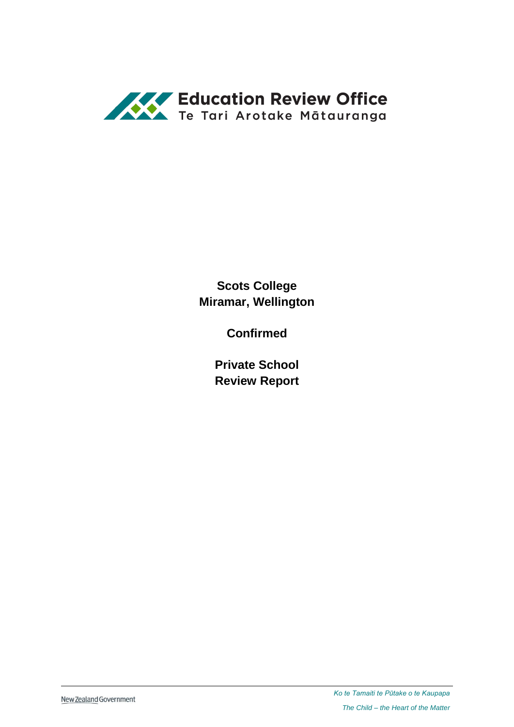

**Scots College Miramar, Wellington**

**Confirmed**

**Private School Review Report**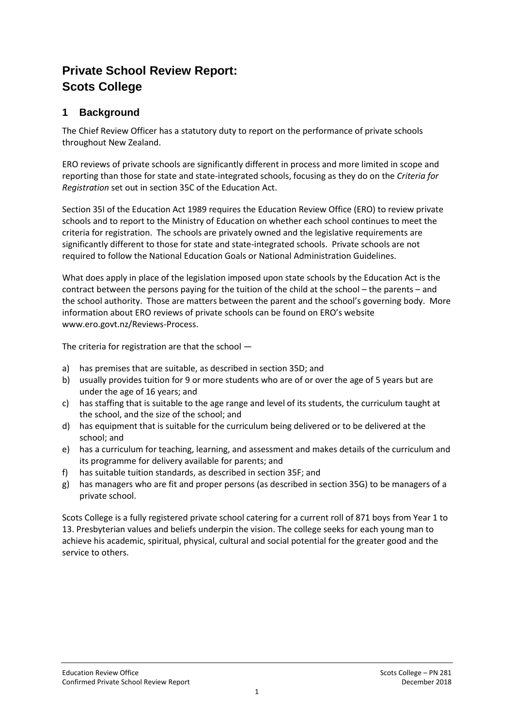# **Private School Review Report: Scots College**

## **1 Background**

The Chief Review Officer has a statutory duty to report on the performance of private schools throughout New Zealand.

ERO reviews of private schools are significantly different in process and more limited in scope and reporting than those for state and state-integrated schools, focusing as they do on the *Criteria for Registration* set out in section 35C of the Education Act.

Section 35I of the Education Act 1989 requires the Education Review Office (ERO) to review private schools and to report to the Ministry of Education on whether each school continues to meet the criteria for registration. The schools are privately owned and the legislative requirements are significantly different to those for state and state-integrated schools. Private schools are not required to follow the National Education Goals or National Administration Guidelines.

What does apply in place of the legislation imposed upon state schools by the Education Act is the contract between the persons paying for the tuition of the child at the school – the parents – and the school authority. Those are matters between the parent and the school's governing body. More information about ERO reviews of private schools can be found on ERO's website [www.ero.govt.nz/Reviews-Process.](http://www.ero.govt.nz/Reviews-Process)

The criteria for registration are that the school —

- a) has premises that are suitable, as described in section 35D; and
- b) usually provides tuition for 9 or more students who are of or over the age of 5 years but are under the age of 16 years; and
- c) has staffing that is suitable to the age range and level of its students, the curriculum taught at the school, and the size of the school; and
- d) has equipment that is suitable for the curriculum being delivered or to be delivered at the school; and
- e) has a curriculum for teaching, learning, and assessment and makes details of the curriculum and its programme for delivery available for parents; and
- f) has suitable tuition standards, as described in section 35F; and
- g) has managers who are fit and proper persons (as described in section 35G) to be managers of a private school.

Scots College is a fully registered private school catering for a current roll of 871 boys from Year 1 to 13. Presbyterian values and beliefs underpin the vision. The college seeks for each young man to achieve his academic, spiritual, physical, cultural and social potential for the greater good and the service to others.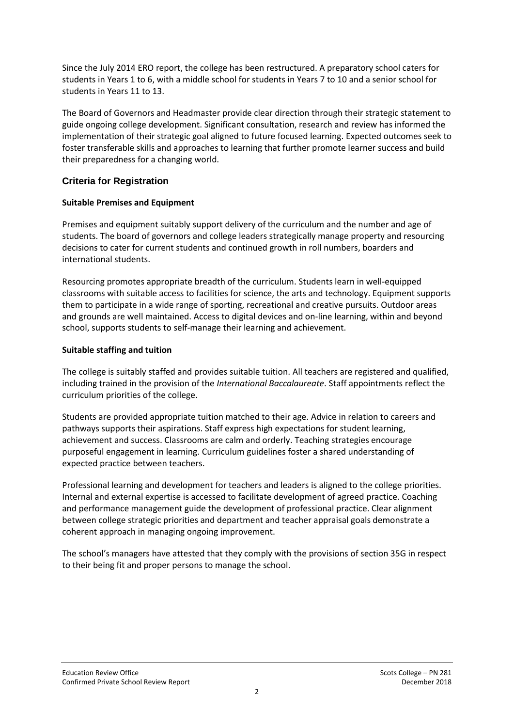Since the July 2014 ERO report, the college has been restructured. A preparatory school caters for students in Years 1 to 6, with a middle school for students in Years 7 to 10 and a senior school for students in Years 11 to 13.

The Board of Governors and Headmaster provide clear direction through their strategic statement to guide ongoing college development. Significant consultation, research and review has informed the implementation of their strategic goal aligned to future focused learning. Expected outcomes seek to foster transferable skills and approaches to learning that further promote learner success and build their preparedness for a changing world.

### **Criteria for Registration**

#### **Suitable Premises and Equipment**

Premises and equipment suitably support delivery of the curriculum and the number and age of students. The board of governors and college leaders strategically manage property and resourcing decisions to cater for current students and continued growth in roll numbers, boarders and international students.

Resourcing promotes appropriate breadth of the curriculum. Students learn in well-equipped classrooms with suitable access to facilities for science, the arts and technology. Equipment supports them to participate in a wide range of sporting, recreational and creative pursuits. Outdoor areas and grounds are well maintained. Access to digital devices and on-line learning, within and beyond school, supports students to self-manage their learning and achievement.

#### **Suitable staffing and tuition**

The college is suitably staffed and provides suitable tuition. All teachers are registered and qualified, including trained in the provision of the *International Baccalaureate*. Staff appointments reflect the curriculum priorities of the college.

Students are provided appropriate tuition matched to their age. Advice in relation to careers and pathways supports their aspirations. Staff express high expectations for student learning, achievement and success. Classrooms are calm and orderly. Teaching strategies encourage purposeful engagement in learning. Curriculum guidelines foster a shared understanding of expected practice between teachers.

Professional learning and development for teachers and leaders is aligned to the college priorities. Internal and external expertise is accessed to facilitate development of agreed practice. Coaching and performance management guide the development of professional practice. Clear alignment between college strategic priorities and department and teacher appraisal goals demonstrate a coherent approach in managing ongoing improvement.

The school's managers have attested that they comply with the provisions of section 35G in respect to their being fit and proper persons to manage the school.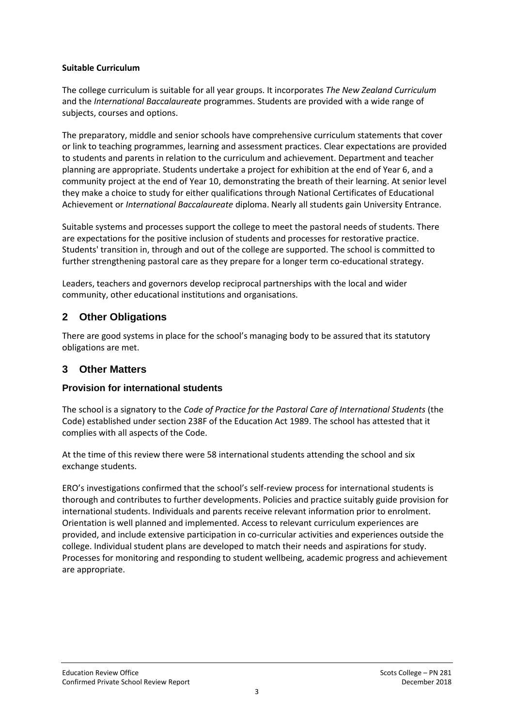#### **Suitable Curriculum**

The college curriculum is suitable for all year groups. It incorporates *The New Zealand Curriculum* and the *International Baccalaureate* programmes. Students are provided with a wide range of subjects, courses and options.

The preparatory, middle and senior schools have comprehensive curriculum statements that cover or link to teaching programmes, learning and assessment practices. Clear expectations are provided to students and parents in relation to the curriculum and achievement. Department and teacher planning are appropriate. Students undertake a project for exhibition at the end of Year 6, and a community project at the end of Year 10, demonstrating the breath of their learning. At senior level they make a choice to study for either qualifications through National Certificates of Educational Achievement or *International Baccalaureate* diploma. Nearly all students gain University Entrance.

Suitable systems and processes support the college to meet the pastoral needs of students. There are expectations for the positive inclusion of students and processes for restorative practice. Students' transition in, through and out of the college are supported. The school is committed to further strengthening pastoral care as they prepare for a longer term co-educational strategy.

Leaders, teachers and governors develop reciprocal partnerships with the local and wider community, other educational institutions and organisations.

## **2 Other Obligations**

There are good systems in place for the school's managing body to be assured that its statutory obligations are met.

## **3 Other Matters**

### **Provision for international students**

The school is a signatory to the *Code of Practice for the Pastoral Care of International Students* (the Code) established under section 238F of the Education Act 1989. The school has attested that it complies with all aspects of the Code.

At the time of this review there were 58 international students attending the school and six exchange students.

ERO's investigations confirmed that the school's self-review process for international students is thorough and contributes to further developments. Policies and practice suitably guide provision for international students. Individuals and parents receive relevant information prior to enrolment. Orientation is well planned and implemented. Access to relevant curriculum experiences are provided, and include extensive participation in co-curricular activities and experiences outside the college. Individual student plans are developed to match their needs and aspirations for study. Processes for monitoring and responding to student wellbeing, academic progress and achievement are appropriate.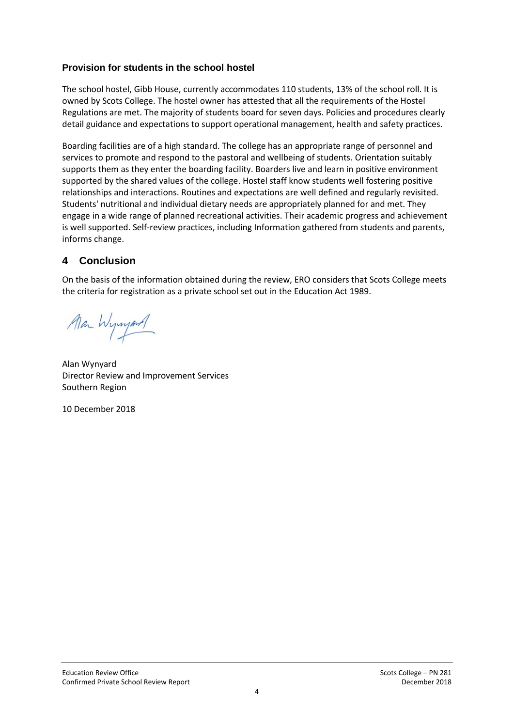## **Provision for students in the school hostel**

The school hostel, Gibb House, currently accommodates 110 students, 13% of the school roll. It is owned by Scots College. The hostel owner has attested that all the requirements of the Hostel Regulations are met. The majority of students board for seven days. Policies and procedures clearly detail guidance and expectations to support operational management, health and safety practices.

Boarding facilities are of a high standard. The college has an appropriate range of personnel and services to promote and respond to the pastoral and wellbeing of students. Orientation suitably supports them as they enter the boarding facility. Boarders live and learn in positive environment supported by the shared values of the college. Hostel staff know students well fostering positive relationships and interactions. Routines and expectations are well defined and regularly revisited. Students' nutritional and individual dietary needs are appropriately planned for and met. They engage in a wide range of planned recreational activities. Their academic progress and achievement is well supported. Self-review practices, including Information gathered from students and parents, informs change.

## **4 Conclusion**

On the basis of the information obtained during the review, ERO considers that Scots College meets the criteria for registration as a private school set out in the Education Act 1989.

Man Wynyard

Alan Wynyard Director Review and Improvement Services Southern Region

10 December 2018